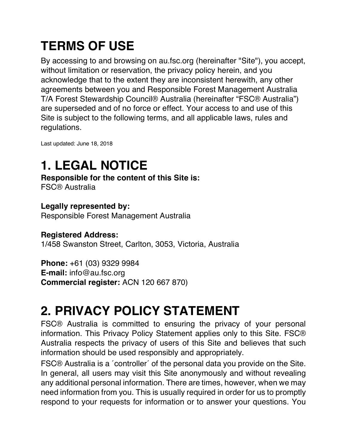# **TERMS OF USE**

By accessing to and browsing on au.fsc.org (hereinafter "Site"), you accept, without limitation or reservation, the privacy policy herein, and you acknowledge that to the extent they are inconsistent herewith, any other agreements between you and Responsible Forest Management Australia T/A Forest Stewardship Council® Australia (hereinafter "FSC® Australia") are superseded and of no force or effect. Your access to and use of this Site is subject to the following terms, and all applicable laws, rules and regulations.

Last updated: June 18, 2018

# **1. LEGAL NOTICE**

**Responsible for the content of this Site is:**

FSC® Australia

#### **Legally represented by:**

Responsible Forest Management Australia

#### **Registered Address:**

1/458 Swanston Street, Carlton, 3053, Victoria, Australia

**Phone:** +61 (03) 9329 9984 **E-mail:** info@au.fsc.org **Commercial register:** ACN 120 667 870)

# **2. PRIVACY POLICY STATEMENT**

FSC® Australia is committed to ensuring the privacy of your personal information. This Privacy Policy Statement applies only to this Site. FSC® Australia respects the privacy of users of this Site and believes that such information should be used responsibly and appropriately.

FSC® Australia is a ´controller´ of the personal data you provide on the Site. In general, all users may visit this Site anonymously and without revealing any additional personal information. There are times, however, when we may need information from you. This is usually required in order for us to promptly respond to your requests for information or to answer your questions. You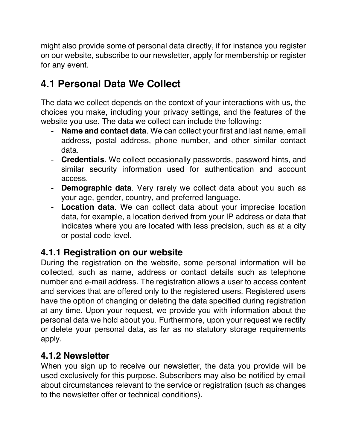might also provide some of personal data directly, if for instance you register on our website, subscribe to our newsletter, apply for membership or register for any event.

## **4.1 Personal Data We Collect**

The data we collect depends on the context of your interactions with us, the choices you make, including your privacy settings, and the features of the website you use. The data we collect can include the following:

- **Name and contact data**. We can collect your first and last name, email address, postal address, phone number, and other similar contact data.
- **Credentials**. We collect occasionally passwords, password hints, and similar security information used for authentication and account access.
- **Demographic data**. Very rarely we collect data about you such as your age, gender, country, and preferred language.
- **Location data**. We can collect data about your imprecise location data, for example, a location derived from your IP address or data that indicates where you are located with less precision, such as at a city or postal code level.

### **4.1.1 Registration on our website**

During the registration on the website, some personal information will be collected, such as name, address or contact details such as telephone number and e-mail address. The registration allows a user to access content and services that are offered only to the registered users. Registered users have the option of changing or deleting the data specified during registration at any time. Upon your request, we provide you with information about the personal data we hold about you. Furthermore, upon your request we rectify or delete your personal data, as far as no statutory storage requirements apply.

#### **4.1.2 Newsletter**

When you sign up to receive our newsletter, the data you provide will be used exclusively for this purpose. Subscribers may also be notified by email about circumstances relevant to the service or registration (such as changes to the newsletter offer or technical conditions).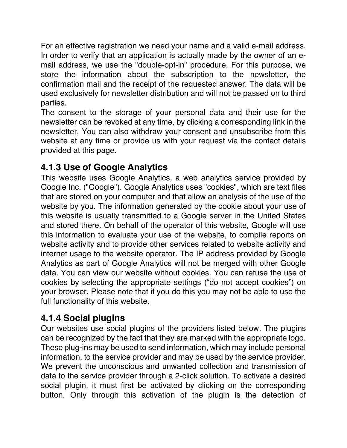For an effective registration we need your name and a valid e-mail address. In order to verify that an application is actually made by the owner of an email address, we use the "double-opt-in" procedure. For this purpose, we store the information about the subscription to the newsletter, the confirmation mail and the receipt of the requested answer. The data will be used exclusively for newsletter distribution and will not be passed on to third parties.

The consent to the storage of your personal data and their use for the newsletter can be revoked at any time, by clicking a corresponding link in the newsletter. You can also withdraw your consent and unsubscribe from this website at any time or provide us with your request via the contact details provided at this page.

## **4.1.3 Use of Google Analytics**

This website uses Google Analytics, a web analytics service provided by Google Inc. ("Google"). Google Analytics uses "cookies", which are text files that are stored on your computer and that allow an analysis of the use of the website by you. The information generated by the cookie about your use of this website is usually transmitted to a Google server in the United States and stored there. On behalf of the operator of this website, Google will use this information to evaluate your use of the website, to compile reports on website activity and to provide other services related to website activity and internet usage to the website operator. The IP address provided by Google Analytics as part of Google Analytics will not be merged with other Google data. You can view our website without cookies. You can refuse the use of cookies by selecting the appropriate settings ("do not accept cookies") on your browser. Please note that if you do this you may not be able to use the full functionality of this website.

### **4.1.4 Social plugins**

Our websites use social plugins of the providers listed below. The plugins can be recognized by the fact that they are marked with the appropriate logo. These plug-ins may be used to send information, which may include personal information, to the service provider and may be used by the service provider. We prevent the unconscious and unwanted collection and transmission of data to the service provider through a 2-click solution. To activate a desired social plugin, it must first be activated by clicking on the corresponding button. Only through this activation of the plugin is the detection of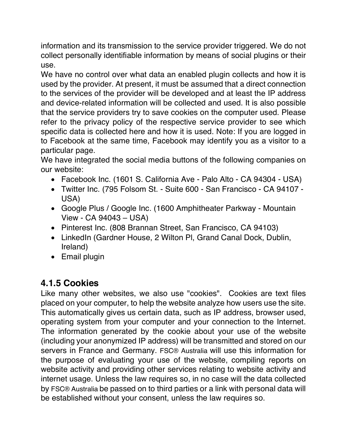information and its transmission to the service provider triggered. We do not collect personally identifiable information by means of social plugins or their use.

We have no control over what data an enabled plugin collects and how it is used by the provider. At present, it must be assumed that a direct connection to the services of the provider will be developed and at least the IP address and device-related information will be collected and used. It is also possible that the service providers try to save cookies on the computer used. Please refer to the privacy policy of the respective service provider to see which specific data is collected here and how it is used. Note: If you are logged in to Facebook at the same time, Facebook may identify you as a visitor to a particular page.

We have integrated the social media buttons of the following companies on our website:

- Facebook Inc. (1601 S. California Ave Palo Alto CA 94304 USA)
- Twitter Inc. (795 Folsom St. Suite 600 San Francisco CA 94107 USA)
- Google Plus / Google Inc. (1600 Amphitheater Parkway Mountain View - CA 94043 – USA)
- Pinterest Inc. (808 Brannan Street, San Francisco, CA 94103)
- LinkedIn (Gardner House, 2 Wilton Pl, Grand Canal Dock, Dublin, Ireland)
- Email plugin

### **4.1.5 Cookies**

Like many other websites, we also use "cookies". Cookies are text files placed on your computer, to help the website analyze how users use the site. This automatically gives us certain data, such as IP address, browser used, operating system from your computer and your connection to the Internet. The information generated by the cookie about your use of the website (including your anonymized IP address) will be transmitted and stored on our servers in France and Germany. FSC® Australia will use this information for the purpose of evaluating your use of the website, compiling reports on website activity and providing other services relating to website activity and internet usage. Unless the law requires so, in no case will the data collected by FSC® Australia be passed on to third parties or a link with personal data will be established without your consent, unless the law requires so.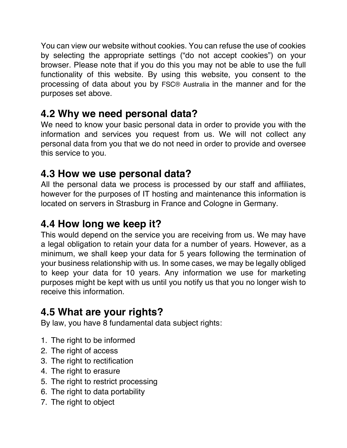You can view our website without cookies. You can refuse the use of cookies by selecting the appropriate settings ("do not accept cookies") on your browser. Please note that if you do this you may not be able to use the full functionality of this website. By using this website, you consent to the processing of data about you by FSC® Australia in the manner and for the purposes set above.

## **4.2 Why we need personal data?**

We need to know your basic personal data in order to provide you with the information and services you request from us. We will not collect any personal data from you that we do not need in order to provide and oversee this service to you.

## **4.3 How we use personal data?**

All the personal data we process is processed by our staff and affiliates, however for the purposes of IT hosting and maintenance this information is located on servers in Strasburg in France and Cologne in Germany.

## **4.4 How long we keep it?**

This would depend on the service you are receiving from us. We may have a legal obligation to retain your data for a number of years. However, as a minimum, we shall keep your data for 5 years following the termination of your business relationship with us. In some cases, we may be legally obliged to keep your data for 10 years. Any information we use for marketing purposes might be kept with us until you notify us that you no longer wish to receive this information.

## **4.5 What are your rights?**

By law, you have 8 fundamental data subject rights:

- 1. The right to be informed
- 2. The right of access
- 3. The right to rectification
- 4. The right to erasure
- 5. The right to restrict processing
- 6. The right to data portability
- 7. The right to object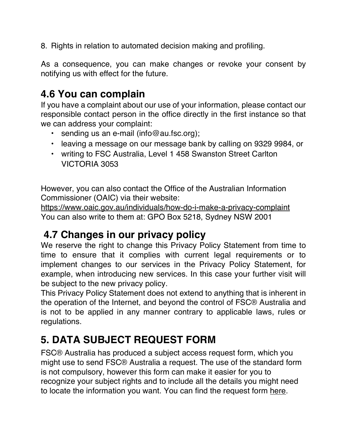8. Rights in relation to automated decision making and profiling.

As a consequence, you can make changes or revoke your consent by notifying us with effect for the future.

## **4.6 You can complain**

If you have a complaint about our use of your information, please contact our responsible contact person in the office directly in the first instance so that we can address your complaint:

- sending us an e-mail (info@au.fsc.org);
- leaving a message on our message bank by calling on 9329 9984, or
- writing to FSC Australia, Level 1 458 Swanston Street Carlton VICTORIA 3053

However, you can also contact the Office of the Australian Information Commissioner (OAIC) via their website:

https://www.oaic.gov.au/individuals/how-do-i-make-a-privacy-complaint You can also write to them at: GPO Box 5218, Sydney NSW 2001

## **4.7 Changes in our privacy policy**

We reserve the right to change this Privacy Policy Statement from time to time to ensure that it complies with current legal requirements or to implement changes to our services in the Privacy Policy Statement, for example, when introducing new services. In this case your further visit will be subject to the new privacy policy.

This Privacy Policy Statement does not extend to anything that is inherent in the operation of the Internet, and beyond the control of FSC® Australia and is not to be applied in any manner contrary to applicable laws, rules or regulations.

# **5. DATA SUBJECT REQUEST FORM**

FSC® Australia has produced a subject access request form, which you might use to send FSC® Australia a request. The use of the standard form is not compulsory, however this form can make it easier for you to recognize your subject rights and to include all the details you might need to locate the information you want. You can find the request form here.